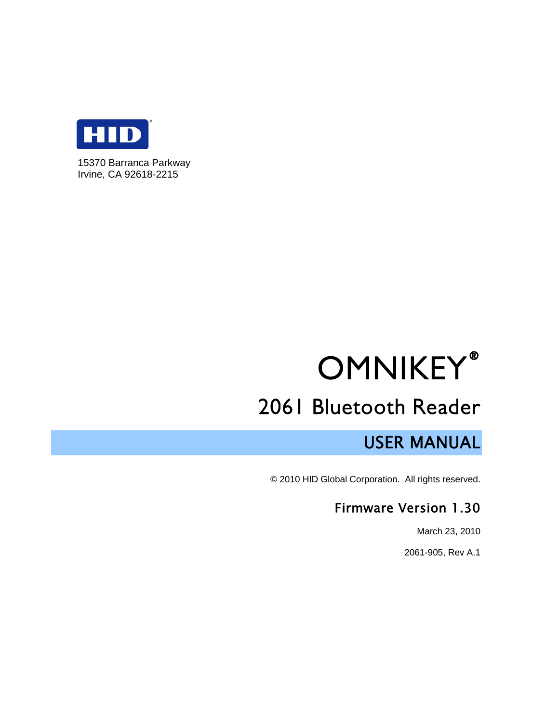

15370 Barranca Parkway Irvine, CA 92618-2215

# **OMNIKEY®**

## 2061 Bluetooth Reader

## USER MANUAL

© 2010 HID Global Corporation. All rights reserved.

## Firmware Version 1.30

March 23, 2010

2061-905, Rev A.1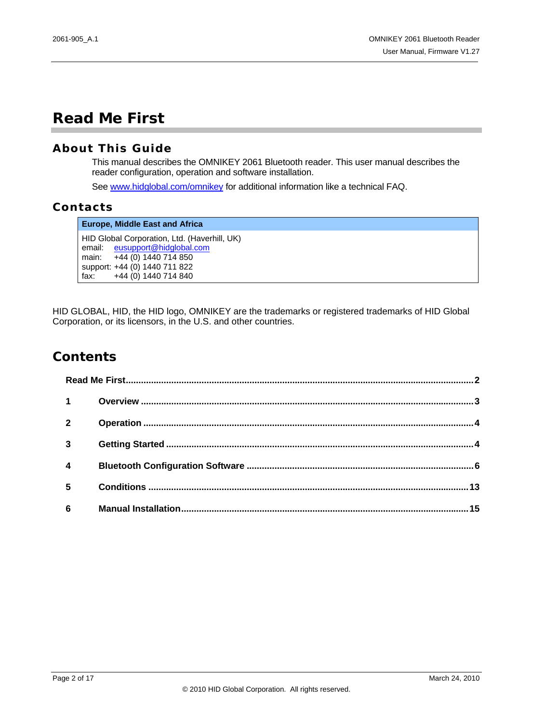## <span id="page-1-0"></span>**Read Me First**

#### **About This Guide**

This manual describes the OMNIKEY 2061 Bluetooth reader. This user manual describes the reader configuration, operation and software installation.

See [www.hidglobal.com/omnikey](http://www.hidglobal.com/omnikey) for additional information like a technical FAQ.

#### **Contacts**

**Europe, Middle East and Africa**  HID Global Corporation, Ltd. (Haverhill, UK) email: [eusupport@hidglobal.com](mailto:eusupport@hidcorp.com)  main: +44 (0) 1440 714 850 support: +44 (0) 1440 711 822 fax: +44 (0) 1440 714 840

HID GLOBAL, HID, the HID logo, OMNIKEY are the trademarks or registered trademarks of HID Global Corporation, or its licensors, in the U.S. and other countries.

### **Contents**

| $1 \quad$        |  |
|------------------|--|
| $\overline{2}$   |  |
| $\overline{3}$   |  |
| $\boldsymbol{4}$ |  |
| 5                |  |
| $6\phantom{a}$   |  |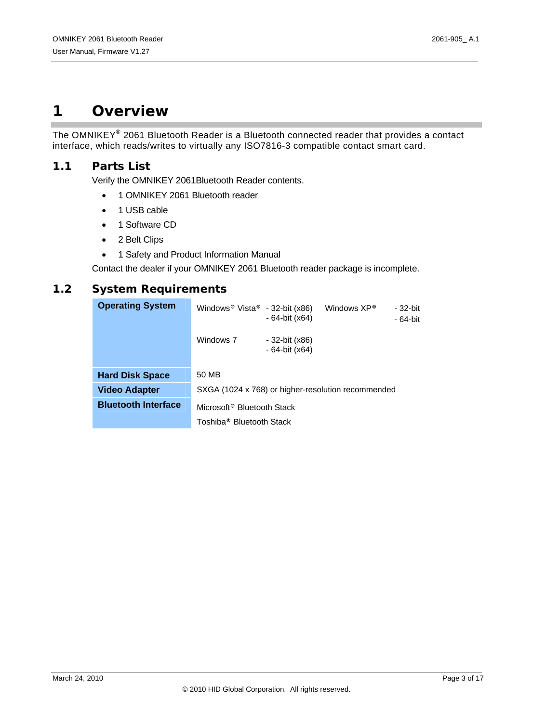## <span id="page-2-0"></span>**1 Overview**

The OMNIKEY® 2061 Bluetooth Reader is a Bluetooth connected reader that provides a contact interface, which reads/writes to virtually any ISO7816-3 compatible contact smart card.

#### **1.1 Parts List**

Verify the OMNIKEY 2061Bluetooth Reader contents.

- 1 OMNIKEY 2061 Bluetooth reader
- 1 USB cable
- 1 Software CD
- 2 Belt Clips
- 1 Safety and Product Information Manual

Contact the dealer if your OMNIKEY 2061 Bluetooth reader package is incomplete.

#### **1.2 System Requirements**

| <b>Operating System</b>    | Windows <sup>®</sup> Vista <sup>®</sup> - 32-bit (x86) | - 64-bit (x64)                   | Windows XP®                                        | - 32-bit<br>$-64$ -bit |
|----------------------------|--------------------------------------------------------|----------------------------------|----------------------------------------------------|------------------------|
|                            | Windows 7                                              | - 32-bit (x86)<br>- 64-bit (x64) |                                                    |                        |
| <b>Hard Disk Space</b>     | 50 MB                                                  |                                  |                                                    |                        |
| <b>Video Adapter</b>       |                                                        |                                  | SXGA (1024 x 768) or higher-resolution recommended |                        |
| <b>Bluetooth Interface</b> | Microsoft <sup>®</sup> Bluetooth Stack                 |                                  |                                                    |                        |
|                            | Toshiba <sup>®</sup> Bluetooth Stack                   |                                  |                                                    |                        |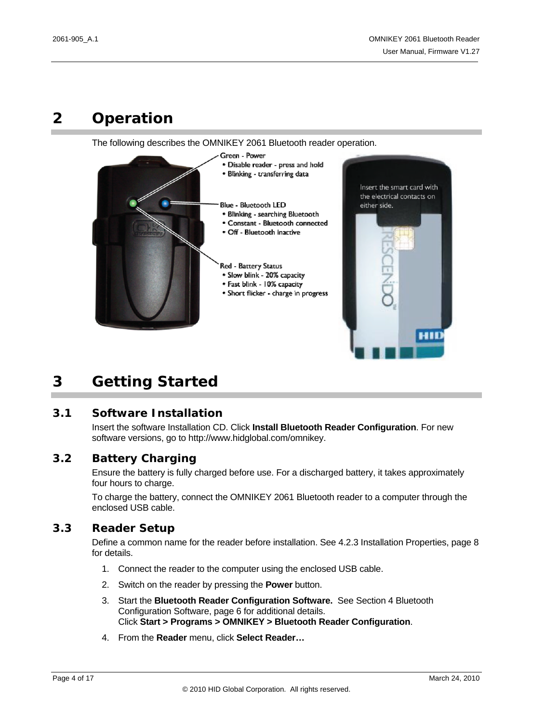## <span id="page-3-0"></span>**2 Operation**

The following describes the OMNIKEY 2061 Bluetooth reader operation.



## <span id="page-3-1"></span>**3 Getting Started**

#### **3.1 Software Installation**

Insert the software Installation CD. Click **Install Bluetooth Reader Configuration**. For new software versions, go to http://www.hidglobal.com/omnikey.

#### **3.2 Battery Charging**

Ensure the battery is fully charged before use. For a discharged battery, it takes approximately four hours to charge.

To charge the battery, connect the OMNIKEY 2061 Bluetooth reader to a computer through the enclosed USB cable.

#### **3.3 Reader Setup**

Define a common name for the reader before installation. See [4.2.3](#page-7-0) [Installation Properties](#page-7-0), page [8](#page-7-0)  for details.

- 1. Connect the reader to the computer using the enclosed USB cable.
- 2. Switch on the reader by pressing the **Power** button.
- 3. Start the **Bluetooth Reader Configuration Software.** See Section [4](#page-5-0) [Bluetooth](#page-5-0)  [Configuration Software](#page-5-0), page [6](#page-5-0) for additional details. Click **Start > Programs > OMNIKEY > Bluetooth Reader Configuration**.
- 4. From the **Reader** menu, click **Select Reader…**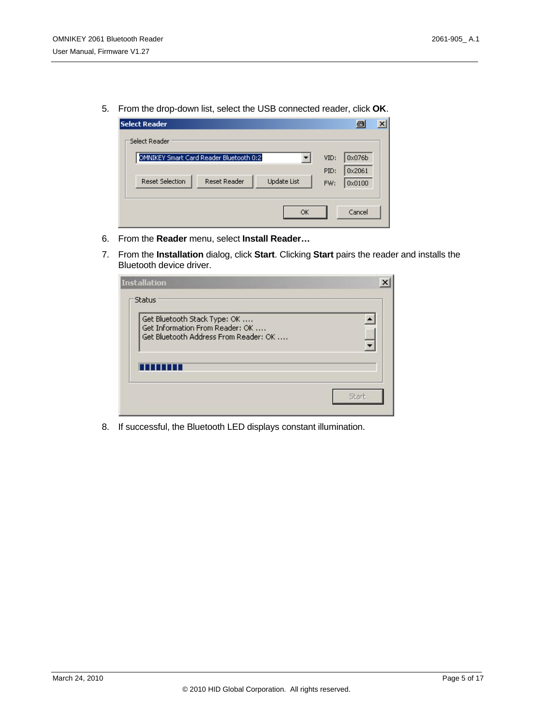5. From the drop-down list, select the USB connected reader, click **OK**.

| <b>Select Reader</b>                                                |      | 8<br>$\boldsymbol{\mathsf{x}}$ |
|---------------------------------------------------------------------|------|--------------------------------|
| Select Reader                                                       |      |                                |
| OMNIKEY Smart Card Reader Bluetooth 0:2                             | VID: | 0x076b                         |
|                                                                     | PID: | 0x2061                         |
| <b>Reset Reader</b><br><b>Reset Selection</b><br><b>Update List</b> | FW:  | 0x0100                         |
|                                                                     |      |                                |
| OK                                                                  |      | Cancel                         |

- 6. From the **Reader** menu, select **Install Reader…**
- 7. From the **Installation** dialog, click **Start**. Clicking **Start** pairs the reader and installs the Bluetooth device driver.

| <b>Installation</b>                                                                                      |       |
|----------------------------------------------------------------------------------------------------------|-------|
| Status                                                                                                   |       |
| Get Bluetooth Stack Type: OK<br>Get Information From Reader: OK<br>Get Bluetooth Address From Reader: OK | yich  |
| ш                                                                                                        |       |
|                                                                                                          | Start |

8. If successful, the Bluetooth LED displays constant illumination.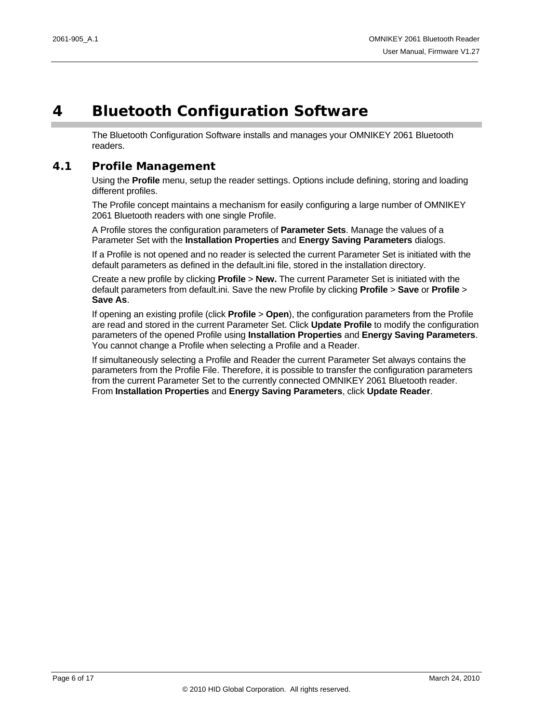## <span id="page-5-0"></span>**4 Bluetooth Configuration Software**

The Bluetooth Configuration Software installs and manages your OMNIKEY 2061 Bluetooth readers.

#### **4.1 Profile Management**

Using the **Profile** menu, setup the reader settings. Options include defining, storing and loading different profiles.

The Profile concept maintains a mechanism for easily configuring a large number of OMNIKEY 2061 Bluetooth readers with one single Profile.

A Profile stores the configuration parameters of **Parameter Sets**. Manage the values of a Parameter Set with the **Installation Properties** and **Energy Saving Parameters** dialogs.

If a Profile is not opened and no reader is selected the current Parameter Set is initiated with the default parameters as defined in the default.ini file, stored in the installation directory.

Create a new profile by clicking **Profile** > **New.** The current Parameter Set is initiated with the default parameters from default.ini. Save the new Profile by clicking **Profile** > **Save** or **Profile** > **Save As**.

If opening an existing profile (click **Profile** > **Open**), the configuration parameters from the Profile are read and stored in the current Parameter Set. Click **Update Profile** to modify the configuration parameters of the opened Profile using **Installation Properties** and **Energy Saving Parameters**. You cannot change a Profile when selecting a Profile and a Reader.

If simultaneously selecting a Profile and Reader the current Parameter Set always contains the parameters from the Profile File. Therefore, it is possible to transfer the configuration parameters from the current Parameter Set to the currently connected OMNIKEY 2061 Bluetooth reader. From **Installation Properties** and **Energy Saving Parameters**, click **Update Reader**.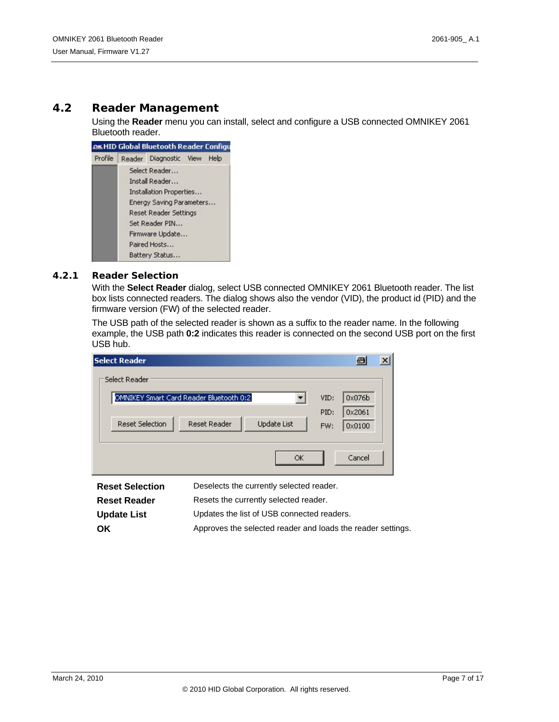#### **4.2 Reader Management**

Using the **Reader** menu you can install, select and configure a USB connected OMNIKEY 2061 Bluetooth reader.

|         | <b>AKHID Global Bluetooth Reader Configu</b> |      |
|---------|----------------------------------------------|------|
| Profile | Reader Diagnostic View                       | Help |
|         | Select Reader                                |      |
|         | Install Reader                               |      |
|         | Installation Properties                      |      |
|         | Energy Saving Parameters                     |      |
|         | Reset Reader Settings                        |      |
|         | Set Reader PIN                               |      |
|         | Firmware Update                              |      |
|         | Paired Hosts                                 |      |
|         | Battery Status                               |      |

#### **4.2.1 Reader Selection**

With the **Select Reader** dialog, select USB connected OMNIKEY 2061 Bluetooth reader. The list box lists connected readers. The dialog shows also the vendor (VID), the product id (PID) and the firmware version (FW) of the selected reader.

The USB path of the selected reader is shown as a suffix to the reader name. In the following example, the USB path **0:2** indicates this reader is connected on the second USB port on the first USB hub.

| <b>Select Reader</b>                                                |      | 8      |  |
|---------------------------------------------------------------------|------|--------|--|
| Select Reader                                                       |      |        |  |
| OMNIKEY Smart Card Reader Bluetooth 0:2                             | VID: | 0x076b |  |
|                                                                     | PID: | 0x2061 |  |
| <b>Reset Selection</b><br><b>Reset Reader</b><br><b>Update List</b> | FW:  | 0x0100 |  |
|                                                                     |      |        |  |
| ОK                                                                  |      | Cancel |  |

| <b>Reset Selection</b> | Deselects the currently selected reader.                    |
|------------------------|-------------------------------------------------------------|
| <b>Reset Reader</b>    | Resets the currently selected reader.                       |
| <b>Update List</b>     | Updates the list of USB connected readers.                  |
| <b>OK</b>              | Approves the selected reader and loads the reader settings. |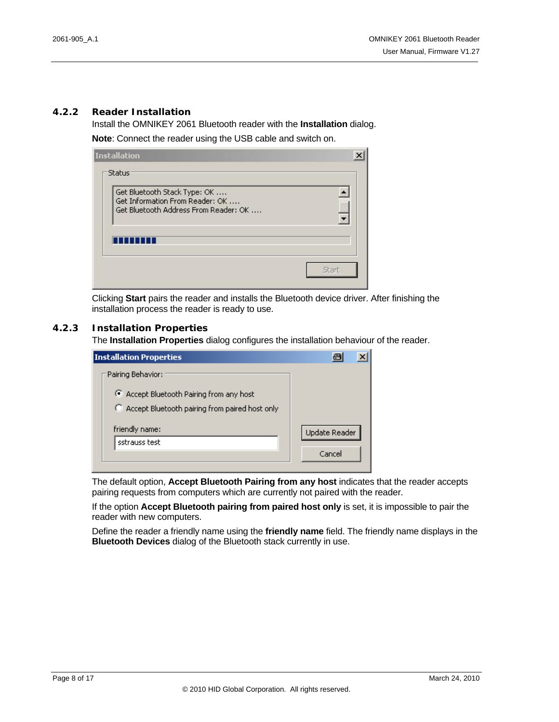#### **4.2.2 Reader Installation**

Install the OMNIKEY 2061 Bluetooth reader with the **Installation** dialog.

**Note**: Connect the reader using the USB cable and switch on.

| Get Bluetooth Stack Type: OK          |   |
|---------------------------------------|---|
| Get Information From Reader: OK       |   |
| Get Bluetooth Address From Reader: OK | 麜 |
|                                       |   |
|                                       |   |
|                                       |   |

Clicking **Start** pairs the reader and installs the Bluetooth device driver. After finishing the installation process the reader is ready to use.

#### <span id="page-7-0"></span>**4.2.3 Installation Properties**

The **Installation Properties** dialog configures the installation behaviour of the reader.

| <b>Installation Properties</b>                                                                                    |                         |
|-------------------------------------------------------------------------------------------------------------------|-------------------------|
| Pairing Behavior:<br>● Accept Bluetooth Pairing from any host<br>C Accept Bluetooth pairing from paired host only |                         |
| friendly name:<br>sstrauss test                                                                                   | Update Reader<br>Cancel |

The default option, **Accept Bluetooth Pairing from any host** indicates that the reader accepts pairing requests from computers which are currently not paired with the reader.

If the option **Accept Bluetooth pairing from paired host only** is set, it is impossible to pair the reader with new computers.

<span id="page-7-1"></span>Define the reader a friendly name using the **friendly name** field. The friendly name displays in the **Bluetooth Devices** dialog of the Bluetooth stack currently in use.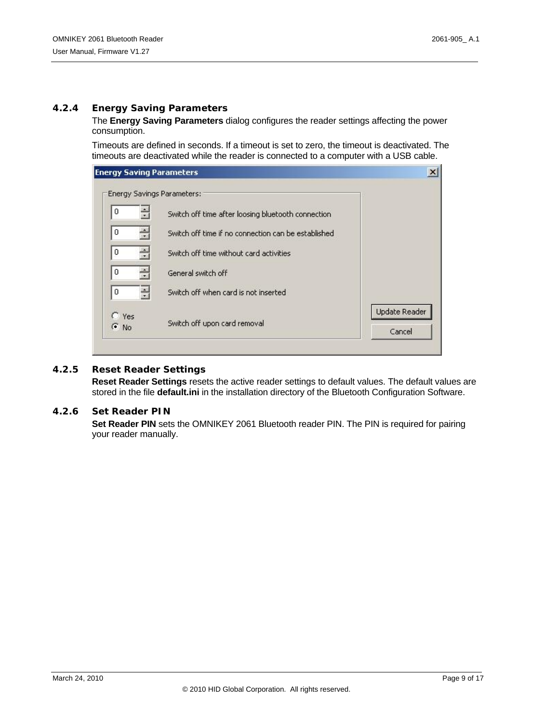#### **4.2.4 Energy Saving Parameters**

The **Energy Saving Parameters** dialog configures the reader settings affecting the power consumption.

Timeouts are defined in seconds. If a timeout is set to zero, the timeout is deactivated. The timeouts are deactivated while the reader is connected to a computer with a USB cable.

| <b>Energy Saving Parameters</b>                     |                                |
|-----------------------------------------------------|--------------------------------|
| Energy Savings Parameters:                          |                                |
| Switch off time after loosing bluetooth connection  |                                |
| Switch off time if no connection can be established |                                |
| Switch off time without card activities             |                                |
| General switch off                                  |                                |
| Switch off when card is not inserted                |                                |
| Switch off upon card removal                        | <b>Update Reader</b><br>Cancel |
|                                                     |                                |

#### **4.2.5 Reset Reader Settings**

**Reset Reader Settings** resets the active reader settings to default values. The default values are stored in the file **default.ini** in the installation directory of the Bluetooth Configuration Software.

#### <span id="page-8-0"></span>**4.2.6 Set Reader PIN**

**Set Reader PIN** sets the OMNIKEY 2061 Bluetooth reader PIN. The PIN is required for pairing your reader manually.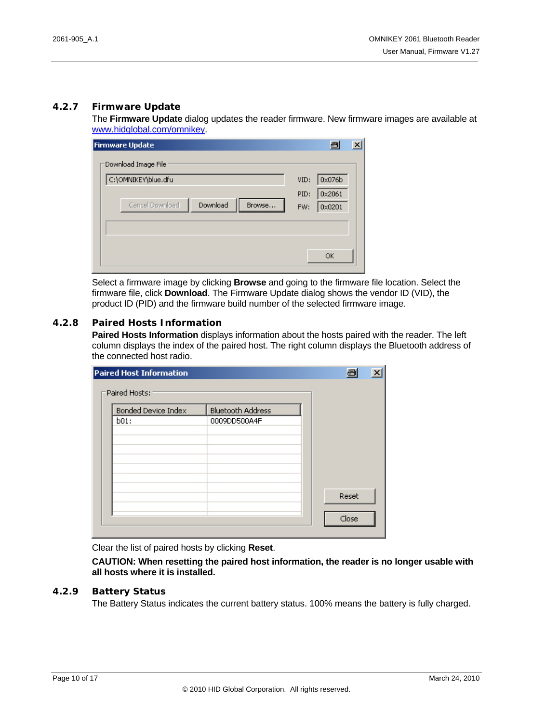#### **4.2.7 Firmware Update**

The **Firmware Update** dialog updates the reader firmware. New firmware images are available at [www.hidglobal.com/omnikey](http://www.hidglobal.com/omnikey).

| <b>Firmware Update</b>                |      | 8      | $\vert x \vert$ |
|---------------------------------------|------|--------|-----------------|
| Download Image File                   |      |        |                 |
| C:\OMNIKEY\blue.dfu                   | VID: | 0x076b |                 |
|                                       | PID: | 0x2061 |                 |
| Download<br>Cancel Download<br>Browse | FW:  | 0x0201 |                 |
|                                       |      |        |                 |
|                                       |      |        |                 |
|                                       |      |        |                 |
|                                       |      | OK     |                 |

Select a firmware image by clicking **Browse** and going to the firmware file location. Select the firmware file, click **Download**. The Firmware Update dialog shows the vendor ID (VID), the product ID (PID) and the firmware build number of the selected firmware image.

#### **4.2.8 Paired Hosts Information**

**Paired Hosts Information** displays information about the hosts paired with the reader. The left column displays the index of the paired host. The right column displays the Bluetooth address of the connected host radio.

| <b>Paired Host Information</b> |                          | $\blacksquare$ |
|--------------------------------|--------------------------|----------------|
| Paired Hosts:                  |                          |                |
| <b>Bonded Device Index</b>     | <b>Bluetooth Address</b> |                |
| b01:                           | 0009DD500A4F             |                |
|                                |                          |                |
|                                |                          |                |
|                                |                          |                |
|                                |                          |                |
|                                |                          | Reset          |
|                                |                          |                |
|                                |                          | Close          |

Clear the list of paired hosts by clicking **Reset**.

**CAUTION: When resetting the paired host information, the reader is no longer usable with all hosts where it is installed.**

#### <span id="page-9-0"></span>**4.2.9 Battery Status**

The Battery Status indicates the current battery status. 100% means the battery is fully charged.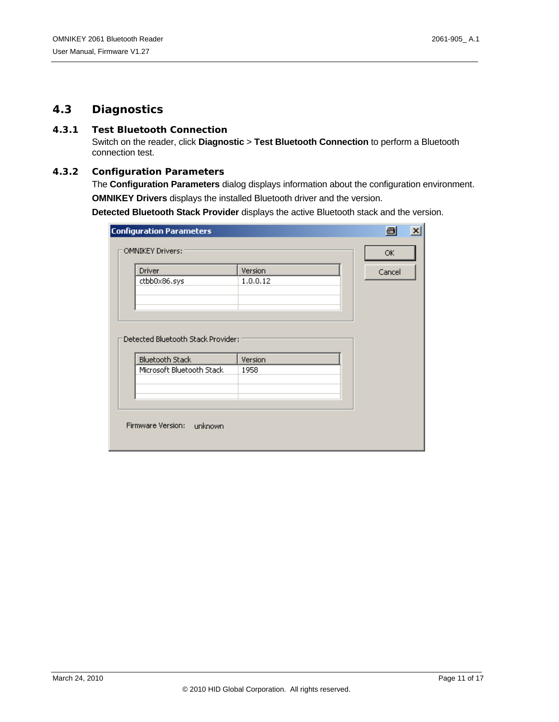#### **4.3 Diagnostics**

#### **4.3.1 Test Bluetooth Connection**

Switch on the reader, click **Diagnostic** > **Test Bluetooth Connection** to perform a Bluetooth connection test.

#### **4.3.2 Configuration Parameters**

The **Configuration Parameters** dialog displays information about the configuration environment. **OMNIKEY Drivers** displays the installed Bluetooth driver and the version.

**Detected Bluetooth Stack Provider** displays the active Bluetooth stack and the version.

| <b>Configuration Parameters</b>    |          | 日<br>$\vert x \vert$ |
|------------------------------------|----------|----------------------|
| <b>OMNIKEY Drivers:</b>            | ОК       |                      |
| Driver                             | Version  | Cancel               |
| ctbb0x86.sys                       | 1.0.0.12 |                      |
|                                    |          |                      |
| Detected Bluetooth Stack Provider: |          |                      |
| <b>Bluetooth Stack</b>             | Version  |                      |
| Microsoft Bluetooth Stack          | 1958     |                      |
|                                    |          |                      |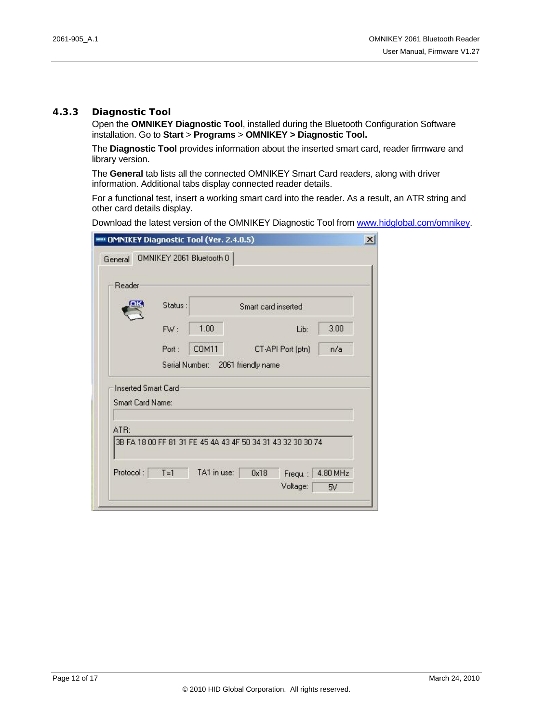#### **4.3.3 Diagnostic Tool**

Open the **OMNIKEY Diagnostic Tool**, installed during the Bluetooth Configuration Software installation. Go to **Start** > **Programs** > **OMNIKEY > Diagnostic Tool.** 

The **Diagnostic Tool** provides information about the inserted smart card, reader firmware and library version.

The **General** tab lists all the connected OMNIKEY Smart Card readers, along with driver information. Additional tabs display connected reader details.

For a functional test, insert a working smart card into the reader. As a result, an ATR string and other card details display.

Download the latest version of the OMNIKEY Diagnostic Tool from [www.hidglobal.com/omnikey.](http://www.hidglobal.com/omnikey)

| Reader                                         |                                   |                                                             |      |  |
|------------------------------------------------|-----------------------------------|-------------------------------------------------------------|------|--|
|                                                | Status:<br>Smart card inserted    |                                                             |      |  |
|                                                | 1.00<br>FW:                       | Lib:                                                        | 3.00 |  |
|                                                | COM11<br>Port:                    | CT-API Port (ptn)                                           | n/a  |  |
|                                                | Serial Number: 2061 friendly name |                                                             |      |  |
| <b>Inserted Smart Card</b><br>Smart Card Name: |                                   |                                                             |      |  |
| ATR:                                           |                                   | 3B FA 18 00 FF 81 31 FE 45 4A 43 4F 50 34 31 43 32 30 30 74 |      |  |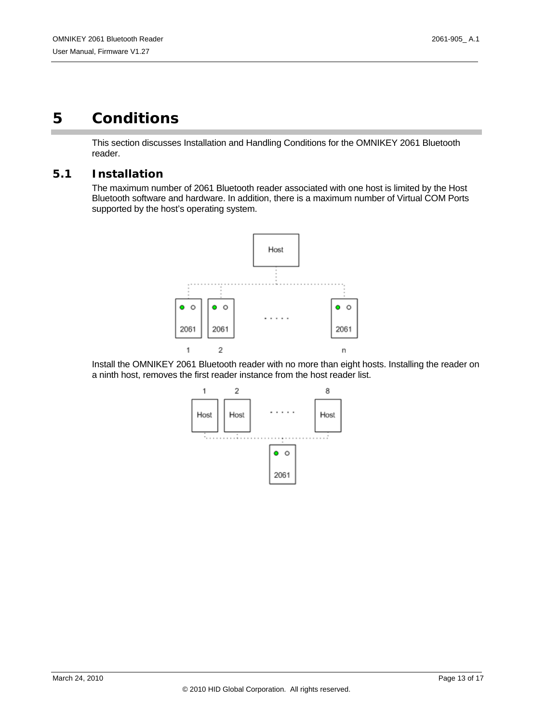## <span id="page-12-0"></span>**5 Conditions**

This section discusses Installation and Handling Conditions for the OMNIKEY 2061 Bluetooth reader.

#### **5.1 Installation**

The maximum number of 2061 Bluetooth reader associated with one host is limited by the Host Bluetooth software and hardware. In addition, there is a maximum number of Virtual COM Ports supported by the host's operating system.



Install the OMNIKEY 2061 Bluetooth reader with no more than eight hosts. Installing the reader on a ninth host, removes the first reader instance from the host reader list.

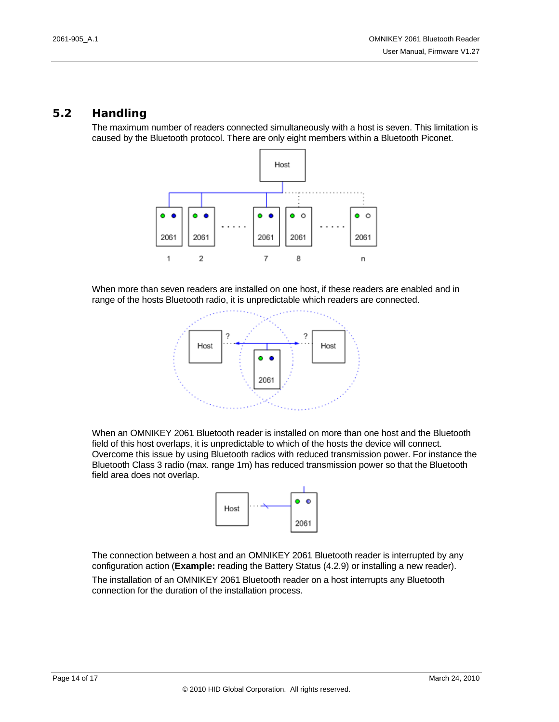#### **5.2 Handling**

The maximum number of readers connected simultaneously with a host is seven. This limitation is caused by the Bluetooth protocol. There are only eight members within a Bluetooth Piconet.



When more than seven readers are installed on one host, if these readers are enabled and in range of the hosts Bluetooth radio, it is unpredictable which readers are connected.



When an OMNIKEY 2061 Bluetooth reader is installed on more than one host and the Bluetooth field of this host overlaps, it is unpredictable to which of the hosts the device will connect. Overcome this issue by using Bluetooth radios with reduced transmission power. For instance the Bluetooth Class 3 radio (max. range 1m) has reduced transmission power so that the Bluetooth field area does not overlap.



The connection between a host and an OMNIKEY 2061 Bluetooth reader is interrupted by any configuration action (**Example:** reading the [Battery Status](#page-9-0) [\(4.2.9](#page-9-0)) or installing a new reader).

The installation of an OMNIKEY 2061 Bluetooth reader on a host interrupts any Bluetooth connection for the duration of the installation process.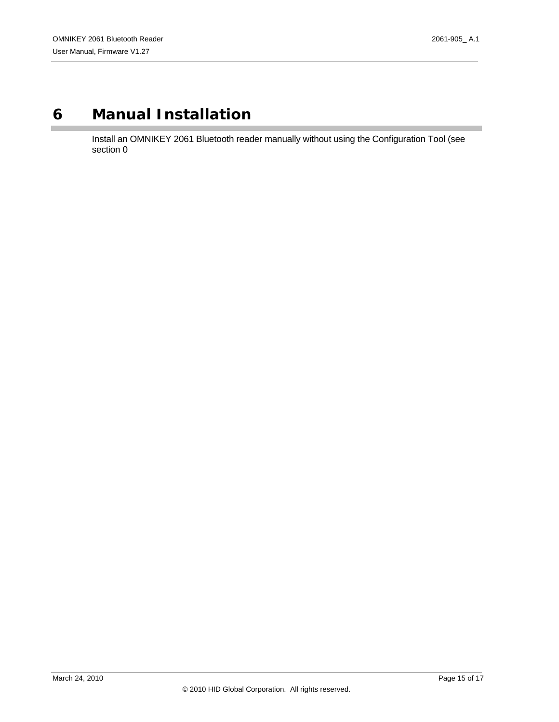## <span id="page-14-0"></span>**6 Manual Installation**

Install an OMNIKEY 2061 Bluetooth reader manually without using the Configuration Tool (see section [0](#page-7-1)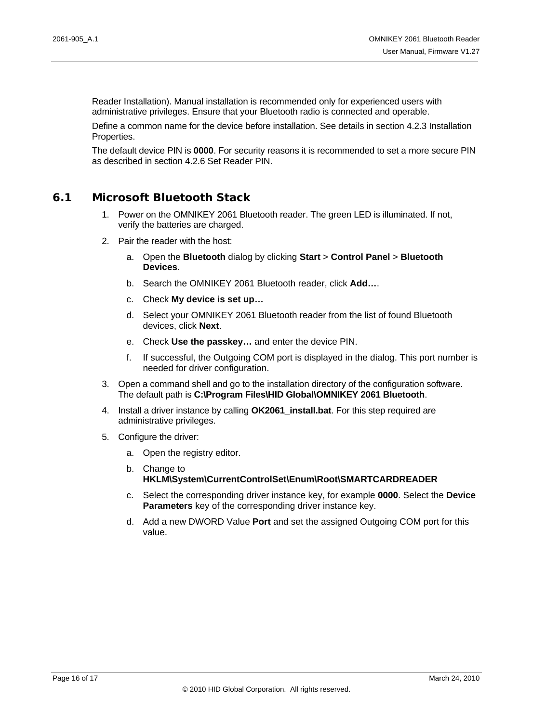Reader Installation). Manual installation is recommended only for experienced users with administrative privileges. Ensure that your Bluetooth radio is connected and operable.

Define a common name for the device before installation. See details in section [4.2.3](#page-7-0) [Installation](#page-7-0)  [Properties](#page-7-0).

The default device PIN is **0000**. For security reasons it is recommended to set a more secure PIN as described in section [4.2.6](#page-8-0) [Set Reader PIN.](#page-8-0)

#### **6.1 Microsoft Bluetooth Stack**

- 1. Power on the OMNIKEY 2061 Bluetooth reader. The green LED is illuminated. If not, verify the batteries are charged.
- 2. Pair the reader with the host:
	- a. Open the **Bluetooth** dialog by clicking **Start** > **Control Panel** > **Bluetooth Devices**.
	- b. Search the OMNIKEY 2061 Bluetooth reader, click **Add…**.
	- c. Check **My device is set up…**
	- d. Select your OMNIKEY 2061 Bluetooth reader from the list of found Bluetooth devices, click **Next**.
	- e. Check **Use the passkey…** and enter the device PIN.
	- f. If successful, the Outgoing COM port is displayed in the dialog. This port number is needed for driver configuration.
- 3. Open a command shell and go to the installation directory of the configuration software. The default path is **C:\Program Files\HID Global\OMNIKEY 2061 Bluetooth**.
- 4. Install a driver instance by calling **OK2061\_install.bat**. For this step required are administrative privileges.
- 5. Configure the driver:
	- a. Open the registry editor.
	- b. Change to **HKLM\System\CurrentControlSet\Enum\Root\SMARTCARDREADER**
	- c. Select the corresponding driver instance key, for example **0000**. Select the **Device Parameters** key of the corresponding driver instance key.
	- d. Add a new DWORD Value **Port** and set the assigned Outgoing COM port for this value.